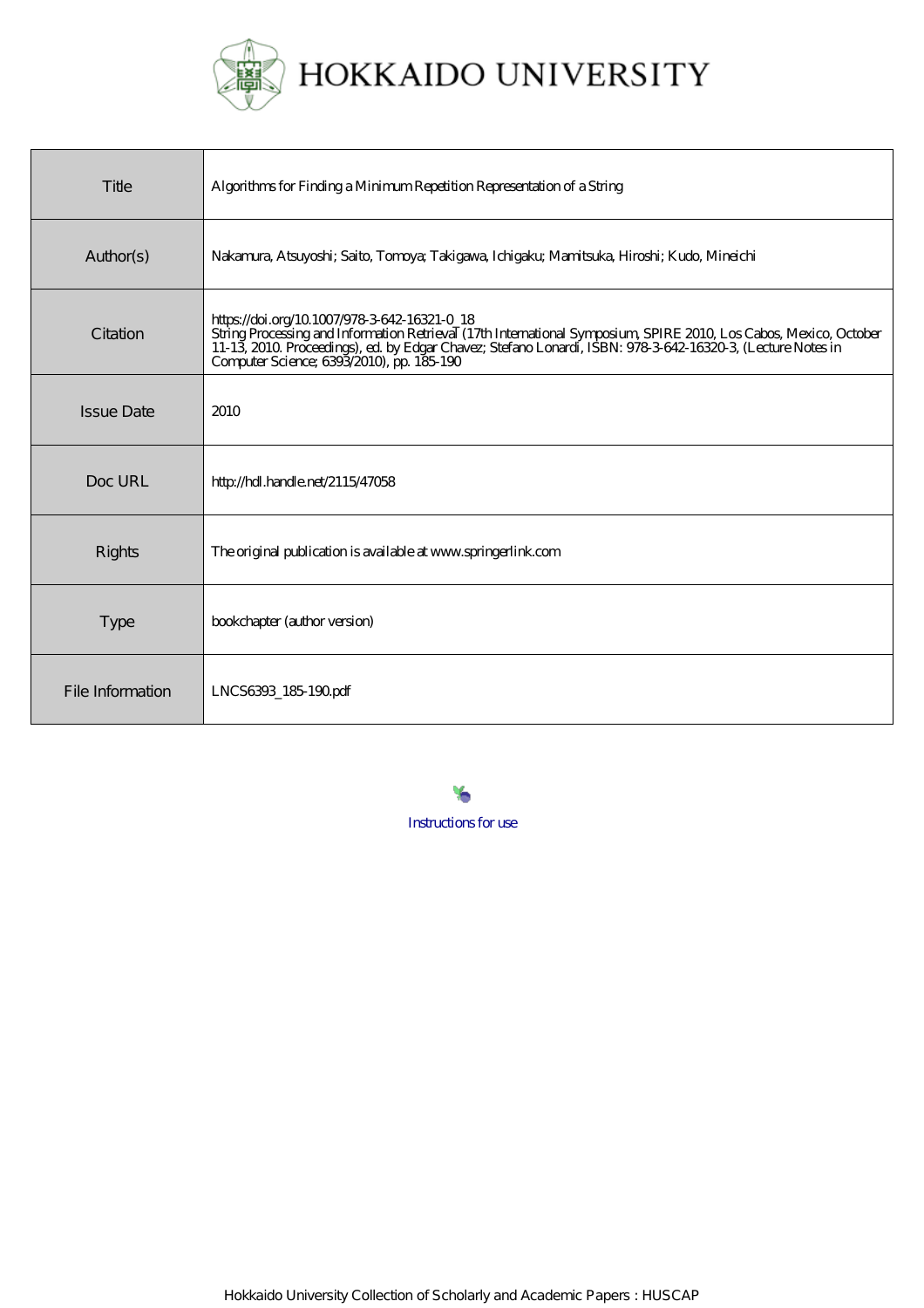

| Title             | Algorithms for Finding a Minimum Repetition Representation of a String                                                                                                                                                                                                                                                   |
|-------------------|--------------------------------------------------------------------------------------------------------------------------------------------------------------------------------------------------------------------------------------------------------------------------------------------------------------------------|
| Author(s)         | Nakamura, Atsuyoshi; Saito, Tomoya; Takigawa, Ichigaku; Mamitsuka, Hiroshi; Kudo, Mineichi                                                                                                                                                                                                                               |
| Citation          | https://doi.org/10.1007/978-3-642-16321-0_18<br>String Processing and Information Retrieval (17th International Symposium, SPIRE 2010, Los Cabos, Mexico, October<br>11-13, 2010 Proceedings), ed by Edgar Chavez; Stefano Lonardi, ISBN: 978-3-642-16320-3, (Lecture Notes in Computer Science; 6383/2010), pp. 185-190 |
| <b>Issue Date</b> | 2010                                                                                                                                                                                                                                                                                                                     |
| Doc URL           | http://hdl.handle.net/2115/47058                                                                                                                                                                                                                                                                                         |
| <b>Rights</b>     | The original publication is available at www.springerlink.com                                                                                                                                                                                                                                                            |
| <b>Type</b>       | bookchapter (author version)                                                                                                                                                                                                                                                                                             |
| File Information  | LNCS6393_185-190pdf                                                                                                                                                                                                                                                                                                      |

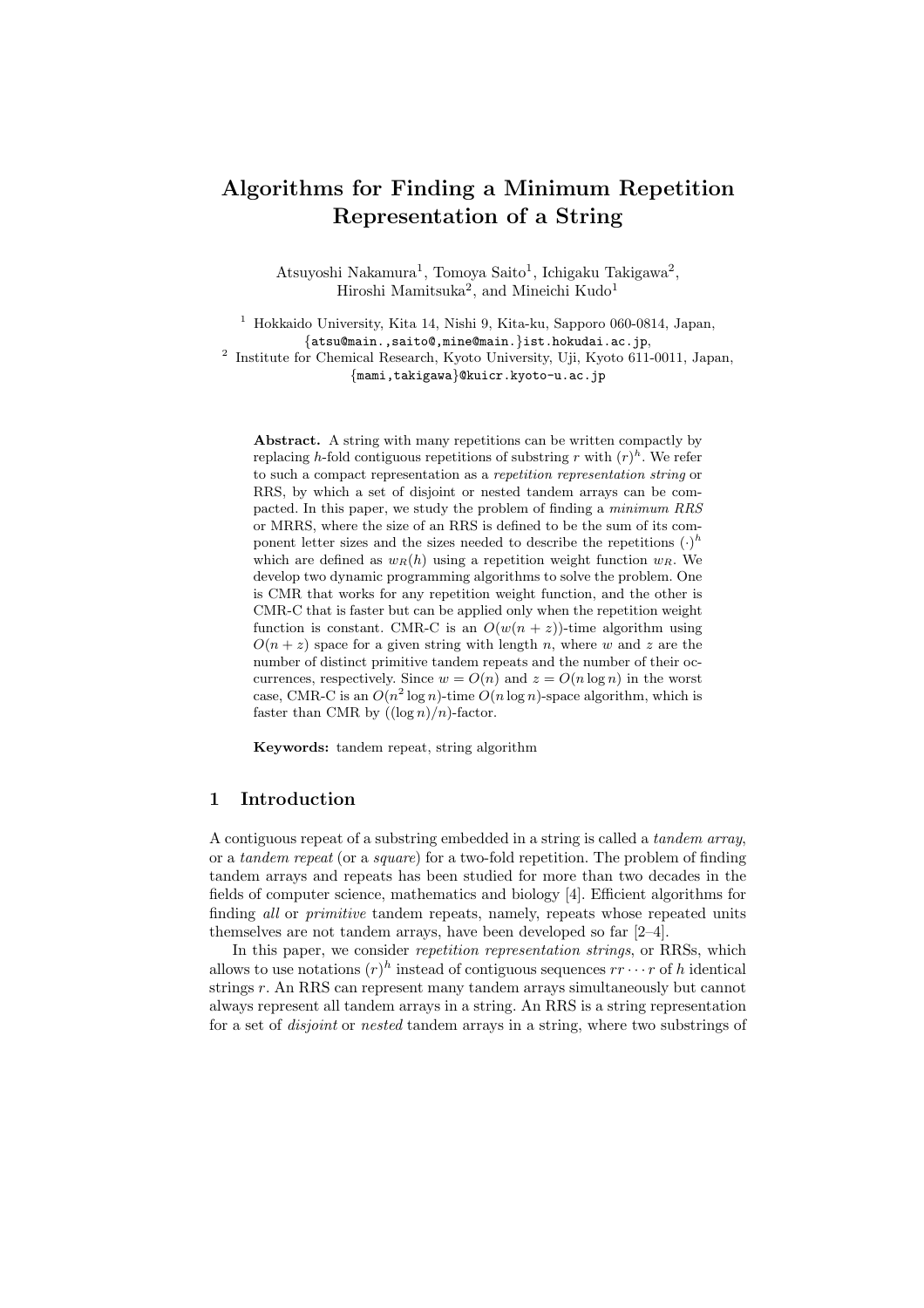# Algorithms for Finding a Minimum Repetition Representation of a String

Atsuyoshi Nakamura<sup>1</sup>, Tomoya Saito<sup>1</sup>, Ichigaku Takigawa<sup>2</sup>, Hiroshi Mamitsuka<sup>2</sup>, and Mineichi Kudo<sup>1</sup>

<sup>1</sup> Hokkaido University, Kita 14, Nishi 9, Kita-ku, Sapporo 060-0814, Japan, {atsu@main.,saito@,mine@main.}ist.hokudai.ac.jp, <sup>2</sup> Institute for Chemical Research, Kyoto University, Uji, Kyoto 611-0011, Japan, {mami,takigawa}@kuicr.kyoto-u.ac.jp

Abstract. A string with many repetitions can be written compactly by replacing h-fold contiguous repetitions of substring r with  $(r)^h$ . We refer to such a compact representation as a repetition representation string or RRS, by which a set of disjoint or nested tandem arrays can be compacted. In this paper, we study the problem of finding a minimum RRS or MRRS, where the size of an RRS is defined to be the sum of its component letter sizes and the sizes needed to describe the repetitions  $(\cdot)^h$ which are defined as  $w_R(h)$  using a repetition weight function  $w_R$ . We develop two dynamic programming algorithms to solve the problem. One is CMR that works for any repetition weight function, and the other is CMR-C that is faster but can be applied only when the repetition weight function is constant. CMR-C is an  $O(w(n + z))$ -time algorithm using  $O(n + z)$  space for a given string with length n, where w and z are the number of distinct primitive tandem repeats and the number of their occurrences, respectively. Since  $w = O(n)$  and  $z = O(n \log n)$  in the worst case, CMR-C is an  $O(n^2 \log n)$ -time  $O(n \log n)$ -space algorithm, which is faster than CMR by  $((\log n)/n)$ -factor.

Keywords: tandem repeat, string algorithm

# 1 Introduction

A contiguous repeat of a substring embedded in a string is called a *tandem array*, or a *tandem repeat* (or a *square*) for a two-fold repetition. The problem of finding tandem arrays and repeats has been studied for more than two decades in the fields of computer science, mathematics and biology [4]. Efficient algorithms for finding *all* or *primitive* tandem repeats, namely, repeats whose repeated units themselves are not tandem arrays, have been developed so far [2–4].

In this paper, we consider *repetition representation strings*, or RRSs, which allows to use notations  $(r)^h$  instead of contiguous sequences  $rr \cdots r$  of h identical strings r. An RRS can represent many tandem arrays simultaneously but cannot always represent all tandem arrays in a string. An RRS is a string representation for a set of *disjoint* or *nested* tandem arrays in a string, where two substrings of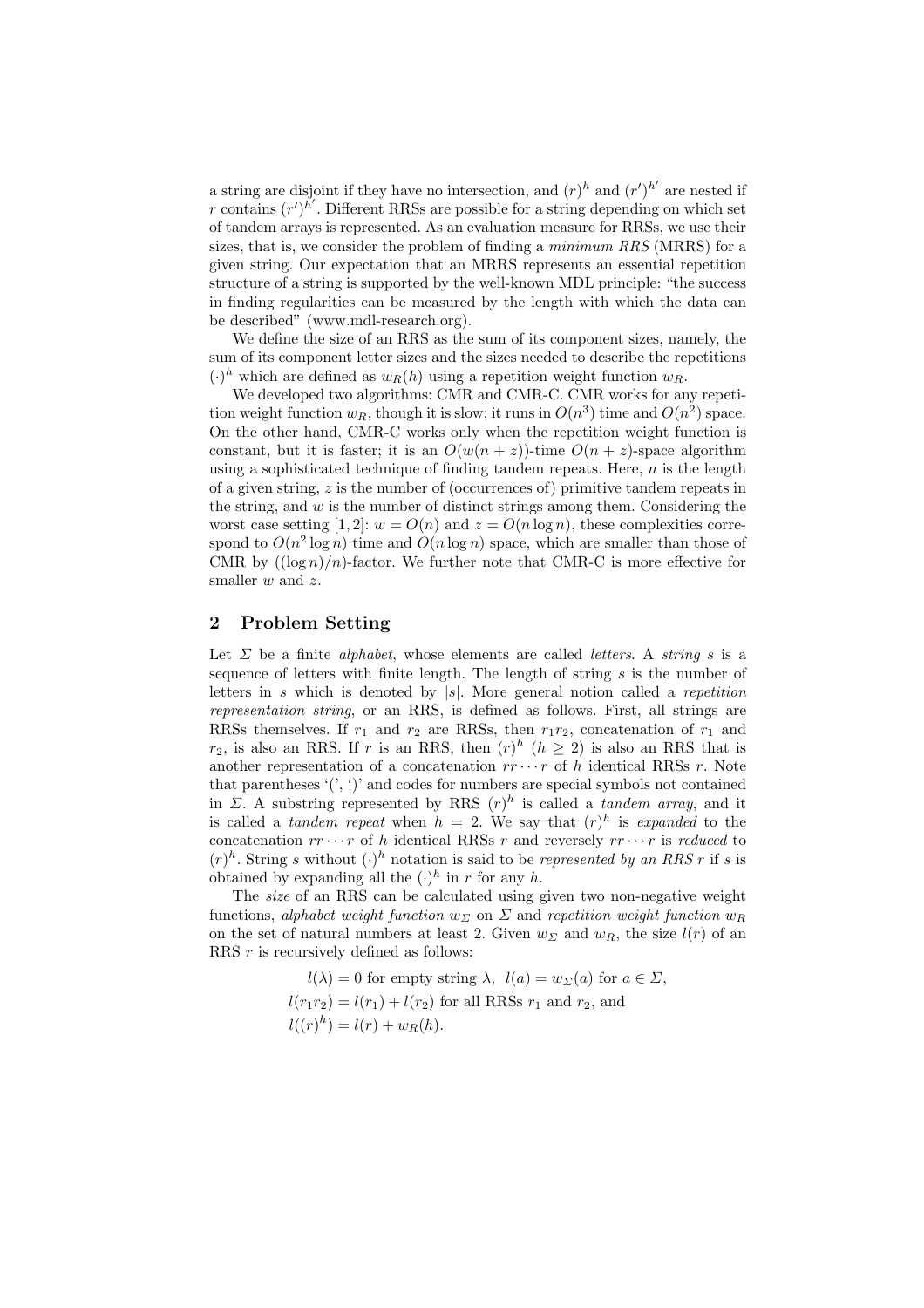a string are disjoint if they have no intersection, and  $(r)^h$  and  $(r')^{h'}$  are nested if r contains  $(r')^{h'}$ . Different RRSs are possible for a string depending on which set of tandem arrays is represented. As an evaluation measure for RRSs, we use their sizes, that is, we consider the problem of finding a *minimum RRS* (MRRS) for a given string. Our expectation that an MRRS represents an essential repetition structure of a string is supported by the well-known MDL principle: "the success in finding regularities can be measured by the length with which the data can be described" (www.mdl-research.org).

We define the size of an RRS as the sum of its component sizes, namely, the sum of its component letter sizes and the sizes needed to describe the repetitions  $(\cdot)^h$  which are defined as  $w_R(h)$  using a repetition weight function  $w_R$ .

We developed two algorithms: CMR and CMR-C. CMR works for any repetition weight function  $w_R$ , though it is slow; it runs in  $O(n^3)$  time and  $O(n^2)$  space. On the other hand, CMR-C works only when the repetition weight function is constant, but it is faster; it is an  $O(w(n + z))$ -time  $O(n + z)$ -space algorithm using a sophisticated technique of finding tandem repeats. Here,  $n$  is the length of a given string,  $z$  is the number of (occurrences of) primitive tandem repeats in the string, and  $w$  is the number of distinct strings among them. Considering the worst case setting [1, 2]:  $w = O(n)$  and  $z = O(n \log n)$ , these complexities correspond to  $O(n^2 \log n)$  time and  $O(n \log n)$  space, which are smaller than those of CMR by  $((\log n)/n)$ -factor. We further note that CMR-C is more effective for smaller w and z.

### 2 Problem Setting

Let  $\Sigma$  be a finite *alphabet*, whose elements are called *letters*. A *string* s is a sequence of letters with finite length. The length of string s is the number of letters in s which is denoted by |s|. More general notion called a *repetition representation string*, or an RRS, is defined as follows. First, all strings are RRSs themselves. If  $r_1$  and  $r_2$  are RRSs, then  $r_1r_2$ , concatenation of  $r_1$  and  $r_2$ , is also an RRS. If r is an RRS, then  $(r)^h$   $(h \geq 2)$  is also an RRS that is another representation of a concatenation  $rr \cdots r$  of h identical RRSs r. Note that parentheses  $'$ , ')' and codes for numbers are special symbols not contained in  $\Sigma$ . A substring represented by RRS  $(r)^h$  is called a *tandem array*, and it is called a *tandem repeat* when  $h = 2$ . We say that  $(r)^h$  is *expanded* to the concatenation  $rr \cdots r$  of h identical RRSs r and reversely  $rr \cdots r$  is *reduced* to  $(r)^h$ . String s without  $(\cdot)^h$  notation is said to be *represented by an RRS* r if s is obtained by expanding all the  $(\cdot)^h$  in r for any h.

The *size* of an RRS can be calculated using given two non-negative weight functions, *alphabet weight function*  $w_{\Sigma}$  on  $\Sigma$  and *repetition weight function*  $w_{R}$ on the set of natural numbers at least 2. Given  $w_{\Sigma}$  and  $w_{R}$ , the size  $l(r)$  of an RRS  $r$  is recursively defined as follows:

> $l(\lambda) = 0$  for empty string  $\lambda$ ,  $l(a) = w_{\Sigma}(a)$  for  $a \in \Sigma$ ,  $l(r_1r_2) = l(r_1) + l(r_2)$  for all RRSs  $r_1$  and  $r_2$ , and  $l((r)^h) = l(r) + w_R(h).$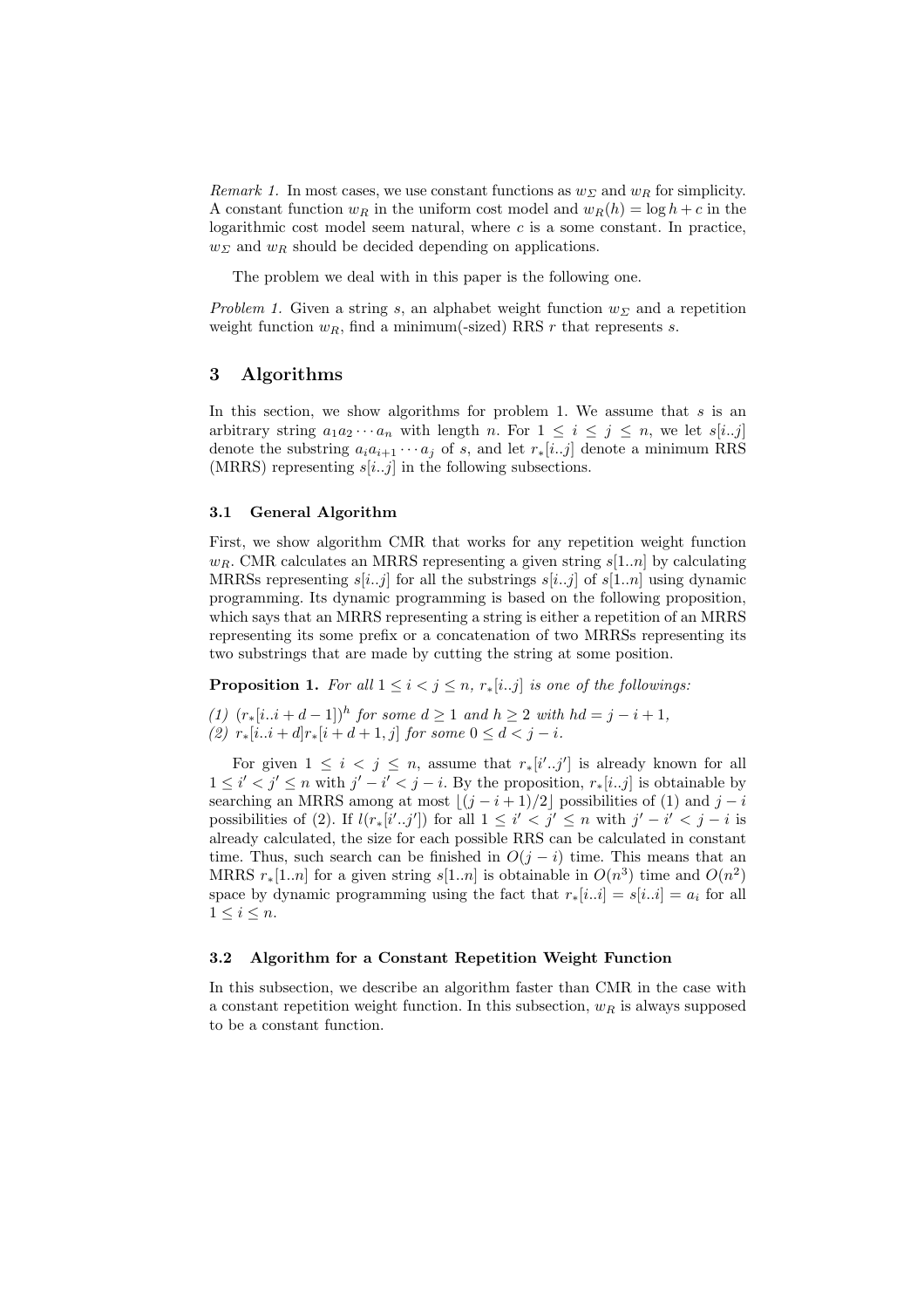*Remark 1.* In most cases, we use constant functions as  $w_{\Sigma}$  and  $w_R$  for simplicity. A constant function  $w_R$  in the uniform cost model and  $w_R(h) = \log h + c$  in the logarithmic cost model seem natural, where  $c$  is a some constant. In practice,  $w_{\Sigma}$  and  $w_{R}$  should be decided depending on applications.

The problem we deal with in this paper is the following one.

*Problem 1.* Given a string s, an alphabet weight function  $w_{\Sigma}$  and a repetition weight function  $w_R$ , find a minimum(-sized) RRS r that represents s.

# 3 Algorithms

In this section, we show algorithms for problem 1. We assume that  $s$  is an arbitrary string  $a_1a_2\cdots a_n$  with length n. For  $1 \leq i \leq j \leq n$ , we let  $s[i..j]$ denote the substring  $a_i a_{i+1} \cdots a_j$  of s, and let  $r_*[i..j]$  denote a minimum RRS (MRRS) representing  $s[i..j]$  in the following subsections.

#### 3.1 General Algorithm

First, we show algorithm CMR that works for any repetition weight function  $w_R$ . CMR calculates an MRRS representing a given string  $s[1..n]$  by calculating MRRSs representing  $s[i..j]$  for all the substrings  $s[i..j]$  of  $s[1..n]$  using dynamic programming. Its dynamic programming is based on the following proposition, which says that an MRRS representing a string is either a repetition of an MRRS representing its some prefix or a concatenation of two MRRSs representing its two substrings that are made by cutting the string at some position.

**Proposition 1.** For all  $1 \leq i \leq j \leq n$ ,  $r_*[i..j]$  *is one of the followings:* 

*(1)*  $(r_*[i..i + d - 1])^h$  *for some*  $d \ge 1$  *and*  $h \ge 2$  *with*  $hd = j - i + 1$ *, (2)*  $r_*[i..i + d]r_*[i + d + 1, j]$  *for some*  $0 ≤ d < j - i$ *.* 

For given  $1 \leq i \leq j \leq n$ , assume that  $r_*[i'..j']$  is already known for all  $1 \leq i' < j' \leq n$  with  $j' - i' < j - i$ . By the proposition,  $r_*[i..j]$  is obtainable by searching an MRRS among at most  $|(j - i + 1)/2|$  possibilities of (1) and  $j - i$ possibilities of (2). If  $l(r_*[i'..j'])$  for all  $1 \leq i' < j' \leq n$  with  $j' - i' < j - i$  is already calculated, the size for each possible RRS can be calculated in constant time. Thus, such search can be finished in  $O(j - i)$  time. This means that an MRRS  $r*[1..n]$  for a given string  $s[1..n]$  is obtainable in  $O(n^3)$  time and  $O(n^2)$ space by dynamic programming using the fact that  $r_*[i..i] = s[i..i] = a_i$  for all  $1 \leq i \leq n$ .

#### 3.2 Algorithm for a Constant Repetition Weight Function

In this subsection, we describe an algorithm faster than CMR in the case with a constant repetition weight function. In this subsection,  $w_R$  is always supposed to be a constant function.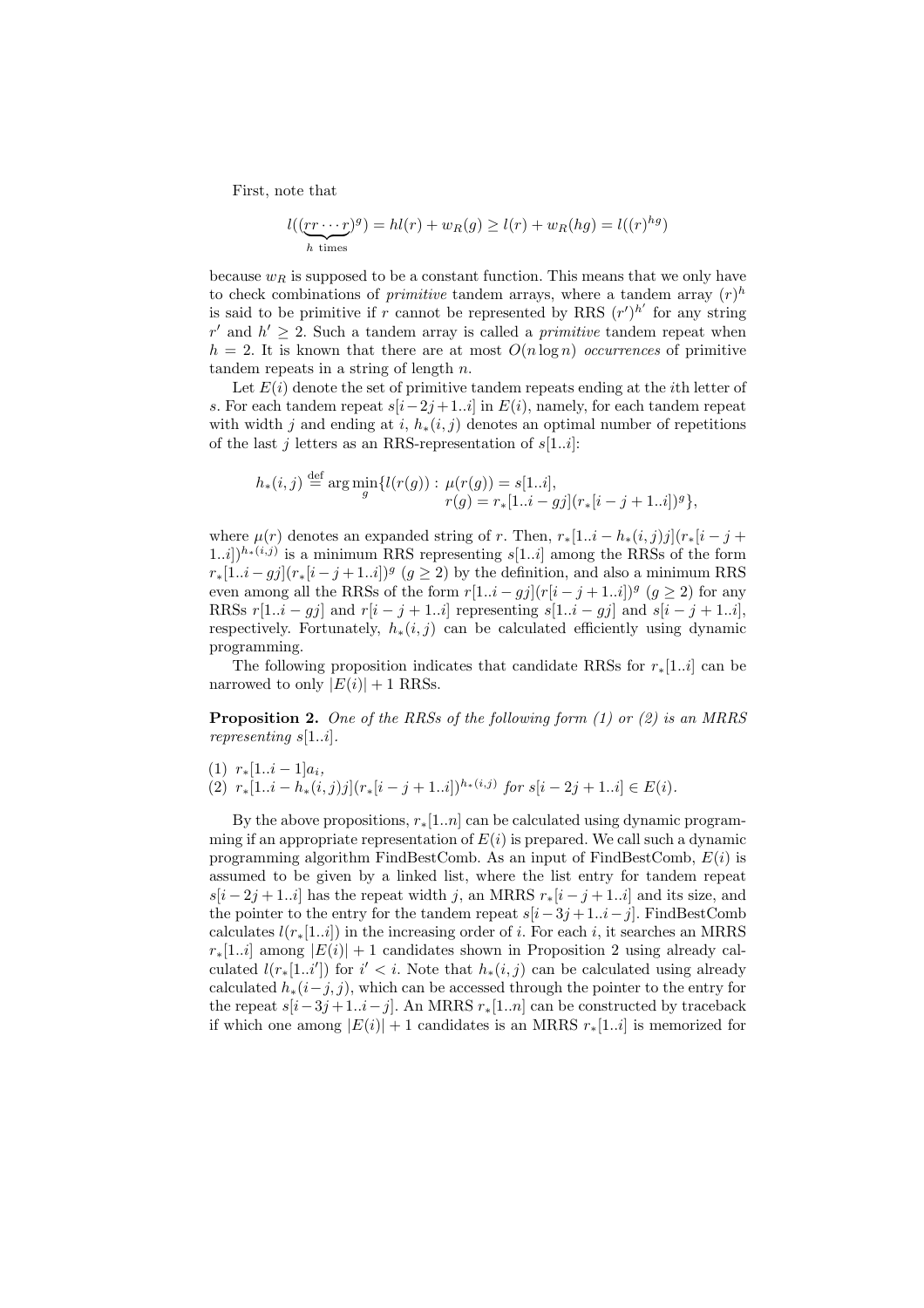First, note that

$$
l((\underbrace{rr\cdots r}_{h \text{ times}})^g) = hl(r) + w_R(g) \ge l(r) + w_R(hg) = l((r)^{hg})
$$

because  $w_R$  is supposed to be a constant function. This means that we only have to check combinations of *primitive* tandem arrays, where a tandem array  $(r)^h$ is said to be primitive if r cannot be represented by RRS  $(r')^{h'}$  for any string  $r'$  and  $h' \geq 2$ . Such a tandem array is called a *primitive* tandem repeat when  $h = 2$ . It is known that there are at most  $O(n \log n)$  *occurrences* of primitive tandem repeats in a string of length n.

Let  $E(i)$  denote the set of primitive tandem repeats ending at the *i*th letter of s. For each tandem repeat  $s[i-2j+1..i]$  in  $E(i)$ , namely, for each tandem repeat with width j and ending at i,  $h_*(i, j)$  denotes an optimal number of repetitions of the last j letters as an RRS-representation of  $s[1..i]$ :

$$
h_*(i,j) \stackrel{\text{def}}{=} \arg \min_g \{ l(r(g)) : \mu(r(g)) = s[1..i],
$$
  

$$
r(g) = r_*[1..i - gj](r_*[i - j + 1..i])^g \},
$$

where  $\mu(r)$  denotes an expanded string of r. Then,  $r_*[1..i - h_*(i,j)j](r_*[i-j+1])$  $(1..i])^{h_*(i,j)}$  is a minimum RRS representing s[1..*i*] among the RRSs of the form  $r_*[1..i-gj](r_*[i-j+1..i])^g$   $(g \ge 2)$  by the definition, and also a minimum RRS even among all the RRSs of the form  $r[1..i-gj](r[i-j+1..i])^g$   $(g \ge 2)$  for any RRSs  $r[1..i - gj]$  and  $r[i - j + 1..i]$  representing  $s[1..i - gj]$  and  $s[i - j + 1..i]$ , respectively. Fortunately,  $h_*(i, j)$  can be calculated efficiently using dynamic programming.

The following proposition indicates that candidate RRSs for  $r_*[1..i]$  can be narrowed to only  $|E(i)| + 1$  RRSs.

Proposition 2. *One of the RRSs of the following form (1) or (2) is an MRRS representing* s[1..i]*.*

(1) 
$$
r_*[1..i-1]a_i,
$$

$$
(2) \ \ r_*[1..i - h_*(i,j)j](r_*[i-j+1..i])^{h_*(i,j)} \ \text{for} \ s[i-2j+1..i] \in E(i).
$$

By the above propositions,  $r_*[1..n]$  can be calculated using dynamic programming if an appropriate representation of  $E(i)$  is prepared. We call such a dynamic programming algorithm FindBestComb. As an input of FindBestComb,  $E(i)$  is assumed to be given by a linked list, where the list entry for tandem repeat  $s[i-2j+1..i]$  has the repeat width j, an MRRS  $r_*[i-j+1..i]$  and its size, and the pointer to the entry for the tandem repeat  $s[i-3j+1..i-j]$ . FindBestComb calculates  $l(r_*[1..i])$  in the increasing order of i. For each i, it searches an MRRS  $r_*[1..i]$  among  $|E(i)| + 1$  candidates shown in Proposition 2 using already calculated  $l(r_*[1..i'])$  for  $i' < i$ . Note that  $h_*(i,j)$  can be calculated using already calculated  $h_*(i-j, j)$ , which can be accessed through the pointer to the entry for the repeat  $s[i-3j+1..i-j]$ . An MRRS  $r_{*}[1..n]$  can be constructed by traceback if which one among  $|E(i)| + 1$  candidates is an MRRS  $r_*[1..i]$  is memorized for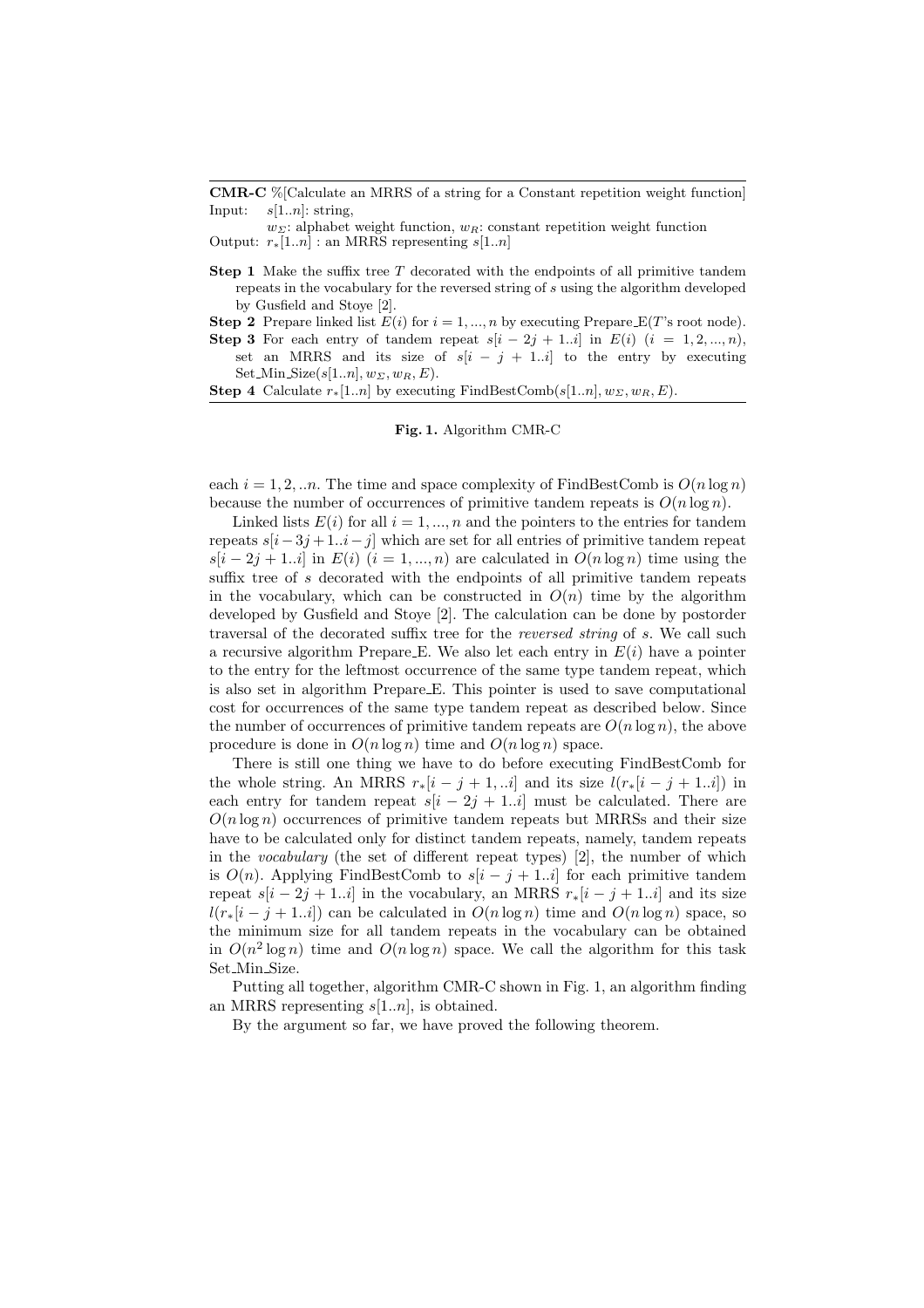CMR-C %[Calculate an MRRS of a string for a Constant repetition weight function] Input:  $s[1..n]$ : string,

 $w_{\Sigma}$ : alphabet weight function,  $w_{\Sigma}$ : constant repetition weight function Output:  $r_*[1..n]$ : an MRRS representing  $s[1..n]$ 

- **Step 1** Make the suffix tree  $T$  decorated with the endpoints of all primitive tandem repeats in the vocabulary for the reversed string of s using the algorithm developed by Gusfield and Stoye [2].
- **Step 2** Prepare linked list  $E(i)$  for  $i = 1, ..., n$  by executing Prepare  $E(T)$ 's root node). Step 3 For each entry of tandem repeat  $s[i - 2j + 1..i]$  in  $E(i)$   $(i = 1, 2, ..., n)$ , set an MRRS and its size of  $s[i - j + 1..i]$  to the entry by executing

Set\_Min\_Size(s[1..n],  $w_{\Sigma}$ ,  $w_{R}$ , E).

**Step 4** Calculate  $r_*[1..n]$  by executing FindBestComb(s[1..n],  $w_{\Sigma}, w_R, E$ ).

#### Fig. 1. Algorithm CMR-C

each  $i = 1, 2, \ldots n$ . The time and space complexity of FindBestComb is  $O(n \log n)$ because the number of occurrences of primitive tandem repeats is  $O(n \log n)$ .

Linked lists  $E(i)$  for all  $i = 1, ..., n$  and the pointers to the entries for tandem repeats  $s[i-3j+1..i-j]$  which are set for all entries of primitive tandem repeat  $s[i-2j+1..i]$  in  $E(i)$   $(i = 1, ..., n)$  are calculated in  $O(n \log n)$  time using the suffix tree of s decorated with the endpoints of all primitive tandem repeats in the vocabulary, which can be constructed in  $O(n)$  time by the algorithm developed by Gusfield and Stoye [2]. The calculation can be done by postorder traversal of the decorated suffix tree for the *reversed string* of s. We call such a recursive algorithm Prepare E. We also let each entry in  $E(i)$  have a pointer to the entry for the leftmost occurrence of the same type tandem repeat, which is also set in algorithm Prepare E. This pointer is used to save computational cost for occurrences of the same type tandem repeat as described below. Since the number of occurrences of primitive tandem repeats are  $O(n \log n)$ , the above procedure is done in  $O(n \log n)$  time and  $O(n \log n)$  space.

There is still one thing we have to do before executing FindBestComb for the whole string. An MRRS  $r_*[i - j + 1, \ldots i]$  and its size  $l(r_*[i - j + 1, \ldots i])$  in each entry for tandem repeat  $s[i - 2j + 1..i]$  must be calculated. There are  $O(n \log n)$  occurrences of primitive tandem repeats but MRRSs and their size have to be calculated only for distinct tandem repeats, namely, tandem repeats in the *vocabulary* (the set of different repeat types) [2], the number of which is  $O(n)$ . Applying FindBestComb to  $s[i - j + 1..i]$  for each primitive tandem repeat  $s[i - 2j + 1..i]$  in the vocabulary, an MRRS  $r*[i - j + 1..i]$  and its size  $l(r_*[i-j+1..i])$  can be calculated in  $O(n \log n)$  time and  $O(n \log n)$  space, so the minimum size for all tandem repeats in the vocabulary can be obtained in  $O(n^2 \log n)$  time and  $O(n \log n)$  space. We call the algorithm for this task Set Min Size.

Putting all together, algorithm CMR-C shown in Fig. 1, an algorithm finding an MRRS representing  $s[1..n]$ , is obtained.

By the argument so far, we have proved the following theorem.